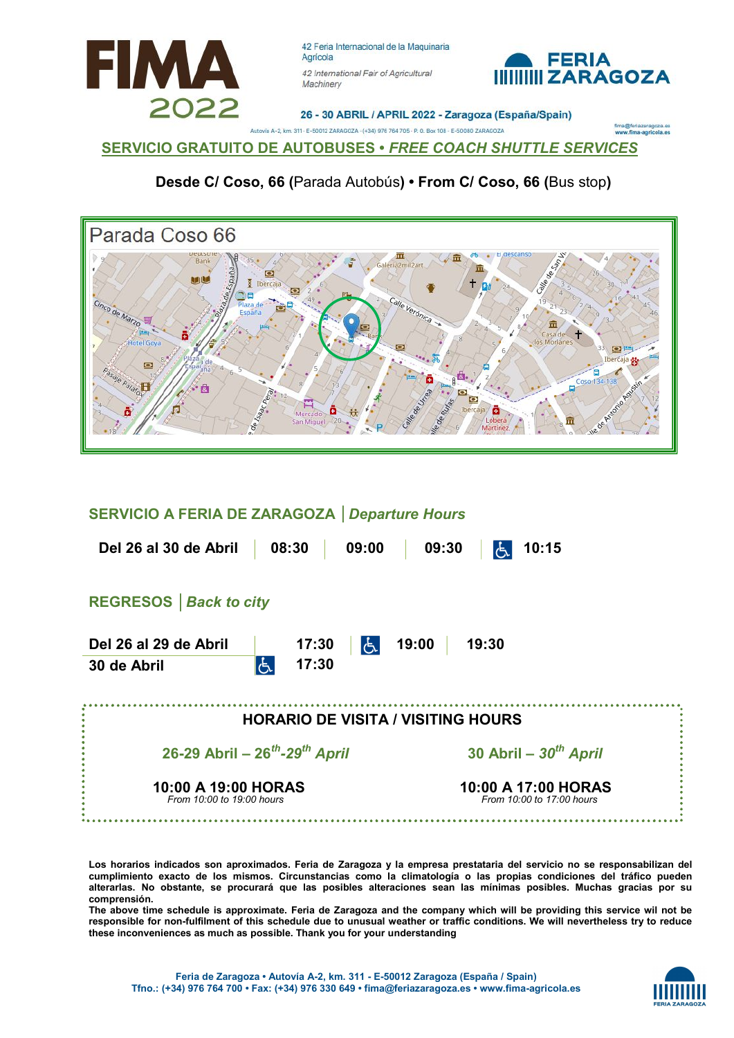



26 - 30 ABRIL / APRIL 2022 - Zaragoza (España/Spain)

eriazaragoza.es<br>ma-agricola.es

SERVICIO GRATUITO DE AUTOBUSES • FREE COACH SHUTTLE SERVICES

Desde C/ Coso, 66 (Parada Autobús) • From C/ Coso, 66 (Bus stop)

ia A-2, km. 311 - E-50012 ZARAGOZA - (+34) 976 764 705 - P. O. Box 108 - E-50080 ZARAGOZA



#### SERVICIO A FERIA DE ZARAGOZA │Departure Hours

| Del 26 al 30 de Abril                            | 08:30<br>09:00                | 09:30<br>10:15                                   |  |  |  |  |  |
|--------------------------------------------------|-------------------------------|--------------------------------------------------|--|--|--|--|--|
| <b>REGRESOS</b>   Back to city                   |                               |                                                  |  |  |  |  |  |
| Del 26 al 29 de Abril<br>30 de Abril             | 17:30<br>لراح<br>17:30<br>l6. | 19:00<br>19:30                                   |  |  |  |  |  |
| <b>HORARIO DE VISITA / VISITING HOURS</b>        |                               |                                                  |  |  |  |  |  |
| 26-29 Abril – $26^{th}$ -29 <sup>th</sup> April  |                               | 30 Abril - $30^{th}$ April                       |  |  |  |  |  |
| 10:00 A 19:00 HORAS<br>From 10:00 to 19:00 hours |                               | 10:00 A 17:00 HORAS<br>From 10:00 to 17:00 hours |  |  |  |  |  |

Los horarios indicados son aproximados. Feria de Zaragoza y la empresa prestataria del servicio no se responsabilizan del cumplimiento exacto de los mismos. Circunstancias como la climatología o las propias condiciones del tráfico pueden alterarlas. No obstante, se procurará que las posibles alteraciones sean las mínimas posibles. Muchas gracias por su comprensión.

The above time schedule is approximate. Feria de Zaragoza and the company which will be providing this service wil not be responsible for non-fulfilment of this schedule due to unusual weather or traffic conditions. We will nevertheless try to reduce these inconveniences as much as possible. Thank you for your understanding

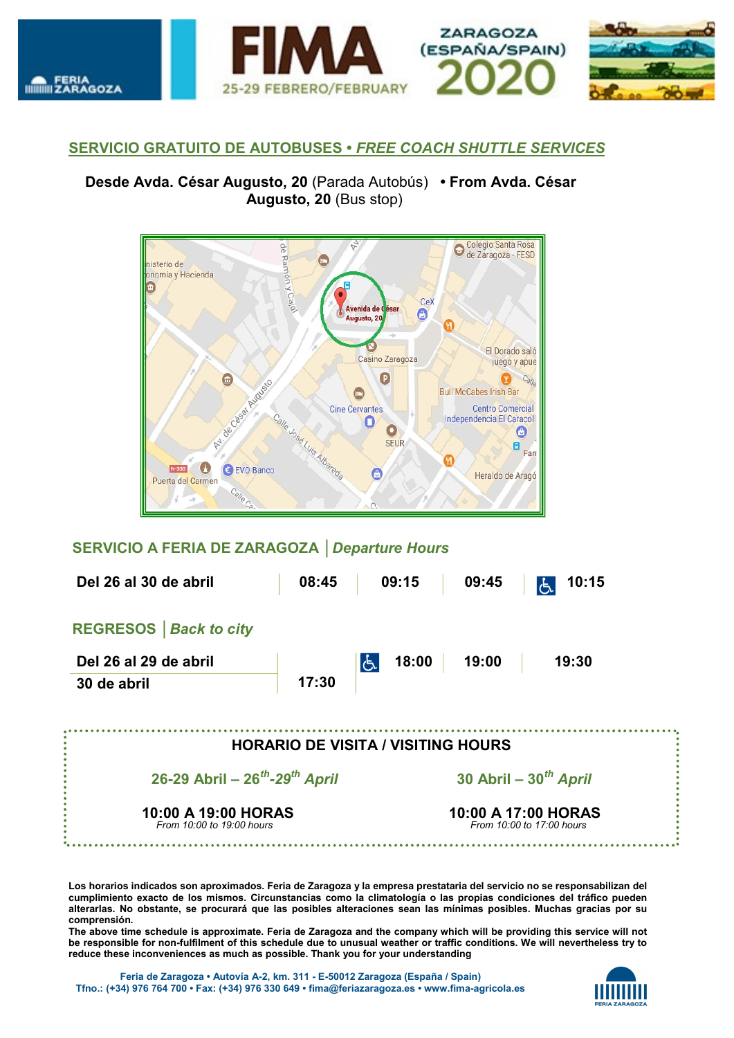

#### SERVICIO GRATUITO DE AUTOBUSES • FREE COACH SHUTTLE SERVICES

Desde Avda. César Augusto, 20 (Parada Autobús) • From Avda. César Augusto, 20 (Bus stop)



## SERVICIO A FERIA DE ZARAGOZA │Departure Hours

| Del 26 al 30 de abril                            | 08:45                                            | 09:15                                     | 09:45 | 10:15<br>ර්. |  |
|--------------------------------------------------|--------------------------------------------------|-------------------------------------------|-------|--------------|--|
| <b>REGRESOS</b>   Back to city                   |                                                  |                                           |       |              |  |
| Del 26 al 29 de abril                            |                                                  | 18:00<br> E                               | 19:00 | 19:30        |  |
| 30 de abril                                      | 17:30                                            |                                           |       |              |  |
|                                                  |                                                  |                                           |       |              |  |
|                                                  |                                                  | <b>HORARIO DE VISITA / VISITING HOURS</b> |       |              |  |
| 26-29 Abril – $26^{th}$ -29 <sup>th</sup> April  |                                                  | 30 Abril - $30^{th}$ April                |       |              |  |
| 10:00 A 19:00 HORAS<br>From 10:00 to 19:00 hours | 10:00 A 17:00 HORAS<br>From 10:00 to 17:00 hours |                                           |       |              |  |

Los horarios indicados son aproximados. Feria de Zaragoza y la empresa prestataria del servicio no se responsabilizan del cumplimiento exacto de los mismos. Circunstancias como la climatología o las propias condiciones del tráfico pueden alterarlas. No obstante, se procurará que las posibles alteraciones sean las mínimas posibles. Muchas gracias por su comprensión.

The above time schedule is approximate. Feria de Zaragoza and the company which will be providing this service will not be responsible for non-fulfilment of this schedule due to unusual weather or traffic conditions. We will nevertheless try to reduce these inconveniences as much as possible. Thank you for your understanding

Feria de Zaragoza • Autovía A-2, km. 311 - E-50012 Zaragoza (España / Spain) Tfno.: (+34) 976 764 700 • Fax: (+34) 976 330 649 • fima@feriazaragoza.es • www.fima-agricola.es